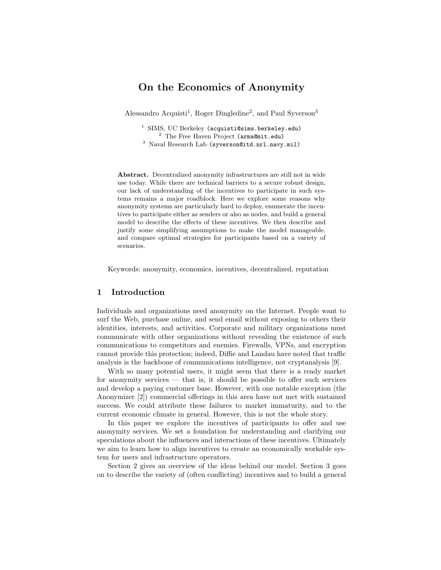# On the Economics of Anonymity

Alessandro Acquisti<sup>1</sup>, Roger Dingledine<sup>2</sup>, and Paul Syverson<sup>3</sup>

<sup>1</sup> SIMS, UC Berkeley (acquisti@sims.berkeley.edu) <sup>2</sup> The Free Haven Project (arma@mit.edu) <sup>3</sup> Naval Research Lab (syverson@itd.nrl.navy.mil)

Abstract. Decentralized anonymity infrastructures are still not in wide use today. While there are technical barriers to a secure robust design, our lack of understanding of the incentives to participate in such systems remains a major roadblock. Here we explore some reasons why anonymity systems are particularly hard to deploy, enumerate the incentives to participate either as senders or also as nodes, and build a general model to describe the effects of these incentives. We then describe and justify some simplifying assumptions to make the model manageable, and compare optimal strategies for participants based on a variety of scenarios.

Keywords: anonymity, economics, incentives, decentralized, reputation

### 1 Introduction

Individuals and organizations need anonymity on the Internet. People want to surf the Web, purchase online, and send email without exposing to others their identities, interests, and activities. Corporate and military organizations must communicate with other organizations without revealing the existence of such communications to competitors and enemies. Firewalls, VPNs, and encryption cannot provide this protection; indeed, Diffie and Landau have noted that traffic analysis is the backbone of communications intelligence, not cryptanalysis [9].

With so many potential users, it might seem that there is a ready market for anonymity services — that is, it should be possible to offer such services and develop a paying customer base. However, with one notable exception (the Anonymizer [2]) commercial offerings in this area have not met with sustained success. We could attribute these failures to market immaturity, and to the current economic climate in general. However, this is not the whole story.

In this paper we explore the incentives of participants to offer and use anonymity services. We set a foundation for understanding and clarifying our speculations about the influences and interactions of these incentives. Ultimately we aim to learn how to align incentives to create an economically workable system for users and infrastructure operators.

Section 2 gives an overview of the ideas behind our model. Section 3 goes on to describe the variety of (often conflicting) incentives and to build a general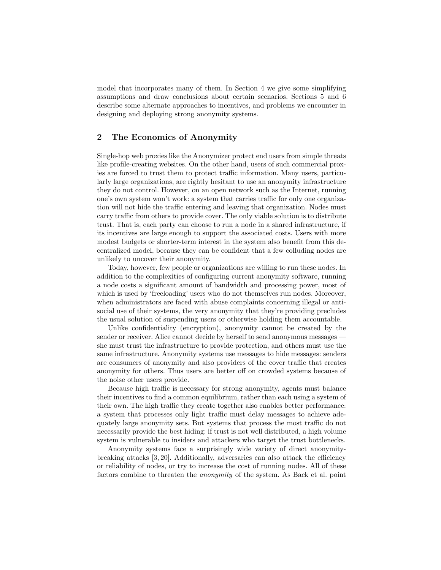model that incorporates many of them. In Section 4 we give some simplifying assumptions and draw conclusions about certain scenarios. Sections 5 and 6 describe some alternate approaches to incentives, and problems we encounter in designing and deploying strong anonymity systems.

## 2 The Economics of Anonymity

Single-hop web proxies like the Anonymizer protect end users from simple threats like profile-creating websites. On the other hand, users of such commercial proxies are forced to trust them to protect traffic information. Many users, particularly large organizations, are rightly hesitant to use an anonymity infrastructure they do not control. However, on an open network such as the Internet, running one's own system won't work: a system that carries traffic for only one organization will not hide the traffic entering and leaving that organization. Nodes must carry traffic from others to provide cover. The only viable solution is to distribute trust. That is, each party can choose to run a node in a shared infrastructure, if its incentives are large enough to support the associated costs. Users with more modest budgets or shorter-term interest in the system also benefit from this decentralized model, because they can be confident that a few colluding nodes are unlikely to uncover their anonymity.

Today, however, few people or organizations are willing to run these nodes. In addition to the complexities of configuring current anonymity software, running a node costs a significant amount of bandwidth and processing power, most of which is used by 'freeloading' users who do not themselves run nodes. Moreover, when administrators are faced with abuse complaints concerning illegal or antisocial use of their systems, the very anonymity that they're providing precludes the usual solution of suspending users or otherwise holding them accountable.

Unlike confidentiality (encryption), anonymity cannot be created by the sender or receiver. Alice cannot decide by herself to send anonymous messages she must trust the infrastructure to provide protection, and others must use the same infrastructure. Anonymity systems use messages to hide messages: senders are consumers of anonymity and also providers of the cover traffic that creates anonymity for others. Thus users are better off on crowded systems because of the noise other users provide.

Because high traffic is necessary for strong anonymity, agents must balance their incentives to find a common equilibrium, rather than each using a system of their own. The high traffic they create together also enables better performance: a system that processes only light traffic must delay messages to achieve adequately large anonymity sets. But systems that process the most traffic do not necessarily provide the best hiding: if trust is not well distributed, a high volume system is vulnerable to insiders and attackers who target the trust bottlenecks.

Anonymity systems face a surprisingly wide variety of direct anonymitybreaking attacks [3, 20]. Additionally, adversaries can also attack the efficiency or reliability of nodes, or try to increase the cost of running nodes. All of these factors combine to threaten the anonymity of the system. As Back et al. point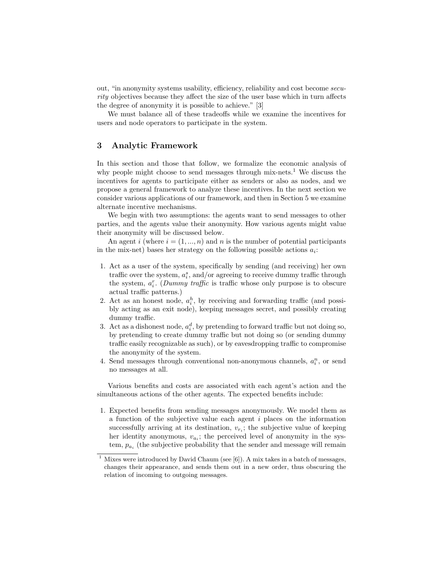out, "in anonymity systems usability, efficiency, reliability and cost become security objectives because they affect the size of the user base which in turn affects the degree of anonymity it is possible to achieve." [3]

We must balance all of these tradeoffs while we examine the incentives for users and node operators to participate in the system.

### 3 Analytic Framework

In this section and those that follow, we formalize the economic analysis of why people might choose to send messages through  $mix-nets$ <sup>1</sup>. We discuss the incentives for agents to participate either as senders or also as nodes, and we propose a general framework to analyze these incentives. In the next section we consider various applications of our framework, and then in Section 5 we examine alternate incentive mechanisms.

We begin with two assumptions: the agents want to send messages to other parties, and the agents value their anonymity. How various agents might value their anonymity will be discussed below.

An agent i (where  $i = (1, ..., n)$  and n is the number of potential participants in the mix-net) bases her strategy on the following possible actions  $a_i$ :

- 1. Act as a user of the system, specifically by sending (and receiving) her own traffic over the system,  $a_i^s$ , and/or agreeing to receive dummy traffic through the system,  $a_i^r$ . (Dummy traffic is traffic whose only purpose is to obscure actual traffic patterns.)
- 2. Act as an honest node,  $a_i^h$ , by receiving and forwarding traffic (and possibly acting as an exit node), keeping messages secret, and possibly creating dummy traffic.
- 3. Act as a dishonest node,  $a_i^d$ , by pretending to forward traffic but not doing so, by pretending to create dummy traffic but not doing so (or sending dummy traffic easily recognizable as such), or by eavesdropping traffic to compromise the anonymity of the system.
- 4. Send messages through conventional non-anonymous channels,  $a_i^n$ , or send no messages at all.

Various benefits and costs are associated with each agent's action and the simultaneous actions of the other agents. The expected benefits include:

1. Expected benefits from sending messages anonymously. We model them as a function of the subjective value each agent i places on the information successfully arriving at its destination,  $v_{r_i}$ ; the subjective value of keeping her identity anonymous,  $v_{a_i}$ ; the perceived level of anonymity in the system,  $p_{a_i}$  (the subjective probability that the sender and message will remain

<sup>&</sup>lt;sup>1</sup> Mixes were introduced by David Chaum (see  $[6]$ ). A mix takes in a batch of messages, changes their appearance, and sends them out in a new order, thus obscuring the relation of incoming to outgoing messages.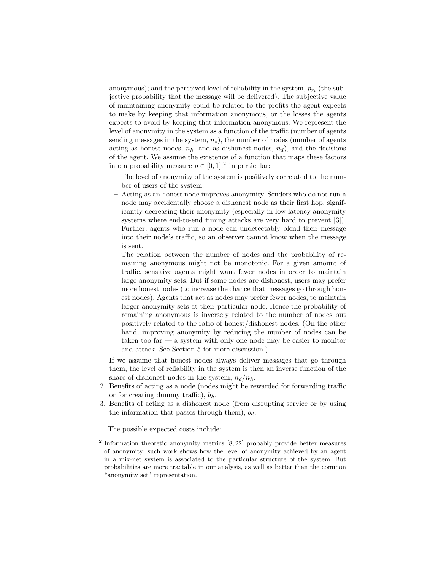anonymous); and the perceived level of reliability in the system,  $p_{r_i}$  (the subjective probability that the message will be delivered). The subjective value of maintaining anonymity could be related to the profits the agent expects to make by keeping that information anonymous, or the losses the agents expects to avoid by keeping that information anonymous. We represent the level of anonymity in the system as a function of the traffic (number of agents sending messages in the system,  $n<sub>s</sub>$ ), the number of nodes (number of agents acting as honest nodes,  $n_h$ , and as dishonest nodes,  $n_d$ ), and the decisions of the agent. We assume the existence of a function that maps these factors into a probability measure  $p \in [0, 1]$ .<sup>2</sup> In particular:

- The level of anonymity of the system is positively correlated to the number of users of the system.
- Acting as an honest node improves anonymity. Senders who do not run a node may accidentally choose a dishonest node as their first hop, significantly decreasing their anonymity (especially in low-latency anonymity systems where end-to-end timing attacks are very hard to prevent [3]). Further, agents who run a node can undetectably blend their message into their node's traffic, so an observer cannot know when the message is sent.
- The relation between the number of nodes and the probability of remaining anonymous might not be monotonic. For a given amount of traffic, sensitive agents might want fewer nodes in order to maintain large anonymity sets. But if some nodes are dishonest, users may prefer more honest nodes (to increase the chance that messages go through honest nodes). Agents that act as nodes may prefer fewer nodes, to maintain larger anonymity sets at their particular node. Hence the probability of remaining anonymous is inversely related to the number of nodes but positively related to the ratio of honest/dishonest nodes. (On the other hand, improving anonymity by reducing the number of nodes can be taken too far  $-$  a system with only one node may be easier to monitor and attack. See Section 5 for more discussion.)

If we assume that honest nodes always deliver messages that go through them, the level of reliability in the system is then an inverse function of the share of dishonest nodes in the system,  $n_d/n_h$ .

- 2. Benefits of acting as a node (nodes might be rewarded for forwarding traffic or for creating dummy traffic),  $b_h$ .
- 3. Benefits of acting as a dishonest node (from disrupting service or by using the information that passes through them),  $b_d$ .

The possible expected costs include:

<sup>&</sup>lt;sup>2</sup> Information theoretic anonymity metrics  $[8, 22]$  probably provide better measures of anonymity: such work shows how the level of anonymity achieved by an agent in a mix-net system is associated to the particular structure of the system. But probabilities are more tractable in our analysis, as well as better than the common "anonymity set" representation.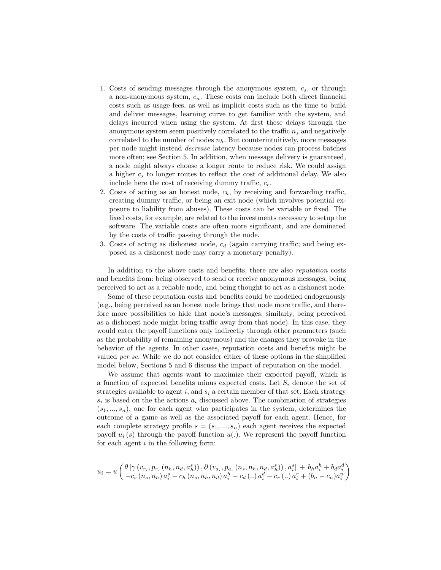- 1. Costs of sending messages through the anonymous system,  $c_s$ , or through a non-anonymous system,  $c_n$ . These costs can include both direct financial costs such as usage fees, as well as implicit costs such as the time to build and deliver messages, learning curve to get familiar with the system, and delays incurred when using the system. At first these delays through the anonymous system seem positively correlated to the traffic  $n_s$  and negatively correlated to the number of nodes  $n_h$ . But counterintuitively, more messages per node might instead decrease latency because nodes can process batches more often; see Section 5. In addition, when message delivery is guaranteed, a node might always choose a longer route to reduce risk. We could assign a higher  $c_s$  to longer routes to reflect the cost of additional delay. We also include here the cost of receiving dummy traffic,  $c_r$ .
- 2. Costs of acting as an honest node,  $c_h$ , by receiving and forwarding traffic, creating dummy traffic, or being an exit node (which involves potential exposure to liability from abuses). These costs can be variable or fixed. The fixed costs, for example, are related to the investments necessary to setup the software. The variable costs are often more significant, and are dominated by the costs of traffic passing through the node.
- 3. Costs of acting as dishonest node,  $c_d$  (again carrying traffic; and being exposed as a dishonest node may carry a monetary penalty).

In addition to the above costs and benefits, there are also reputation costs and benefits from: being observed to send or receive anonymous messages, being perceived to act as a reliable node, and being thought to act as a dishonest node.

Some of these reputation costs and benefits could be modelled endogenously (e.g., being perceived as an honest node brings that node more traffic, and therefore more possibilities to hide that node's messages; similarly, being perceived as a dishonest node might bring traffic away from that node). In this case, they would enter the payoff functions only indirectly through other parameters (such as the probability of remaining anonymous) and the changes they provoke in the behavior of the agents. In other cases, reputation costs and benefits might be valued per se. While we do not consider either of these options in the simplified model below, Sections 5 and 6 discuss the impact of reputation on the model.

We assume that agents want to maximize their expected payoff, which is a function of expected benefits minus expected costs. Let  $S_i$  denote the set of strategies available to agent  $i$ , and  $s_i$  a certain member of that set. Each strategy  $s_i$  is based on the the actions  $a_i$  discussed above. The combination of strategies  $(s_1, ..., s_n)$ , one for each agent who participates in the system, determines the outcome of a game as well as the associated payoff for each agent. Hence, for each complete strategy profile  $s = (s_1, ..., s_n)$  each agent receives the expected payoff  $u_i(s)$  through the payoff function  $u(.)$ . We represent the payoff function for each agent  $i$  in the following form:

$$
u_{i} = u \left( \frac{\theta \left[ \gamma \left( v_{r_{i}}, p_{r_{i}} \left( n_{h}, n_{d}, a_{h}^{s} \right) \right), \partial \left( v_{a_{i}}, p_{a_{i}} \left( n_{s}, n_{h}, n_{d}, a_{h}^{s} \right) \right), a_{i}^{s} \right] + b_{h} a_{i}^{h} + b_{d} a_{i}^{d}}{-c_{s} \left( n_{s}, n_{h} \right) a_{i}^{s} - c_{h} \left( n_{s}, n_{h}, n_{d} \right) a_{i}^{h} - c_{d} \left( .. \right) a_{i}^{d} - c_{r} \left( .. \right) a_{i}^{r} + \left( b_{n} - c_{n} \right) a_{i}^{n} \right)}
$$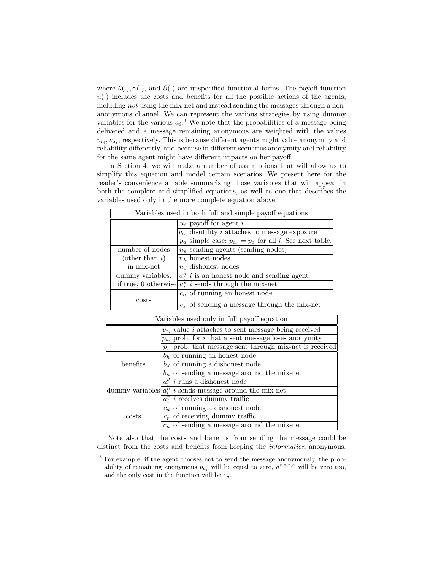where  $\theta(.)$ ,  $\gamma(.)$ , and  $\partial(.)$  are unspecified functional forms. The payoff function  $u(.)$  includes the costs and benefits for all the possible actions of the agents, including not using the mix-net and instead sending the messages through a nonanonymous channel. We can represent the various strategies by using dummy variables for the various  $a_i$ <sup>3</sup> We note that the probabilities of a message being delivered and a message remaining anonymous are weighted with the values  $v_{r_i}, v_{a_i}$ , respectively. This is because different agents might value anonymity and reliability differently, and because in different scenarios anonymity and reliability for the same agent might have different impacts on her payoff.

In Section 4, we will make a number of assumptions that will allow us to simplify this equation and model certain scenarios. We present here for the reader's convenience a table summarizing those variables that will appear in both the complete and simplified equations, as well as one that describes the variables used only in the more complete equation above.

| Variables used in both full and simple payoff equations |                                                                       |  |
|---------------------------------------------------------|-----------------------------------------------------------------------|--|
|                                                         | $u_i$ payoff for agent i                                              |  |
|                                                         | $v_{a_i}$ disubility <i>i</i> attaches to message exposure            |  |
|                                                         | $p_a$ simple case: $p_{a_i} = p_a$ for all <i>i</i> . See next table. |  |
| number of nodes                                         | $n_s$ sending agents (sending nodes)                                  |  |
| $\text{(other than } i)$                                | $n_h$ honest nodes                                                    |  |
| in mix-net                                              | $n_d$ dishonest nodes                                                 |  |
| dummy variables:                                        | $a_i^h$ <i>i</i> is an honest node and sending agent                  |  |
| 1 if true, 0 otherwise                                  | $a_i^s$ <i>i</i> sends through the mix-net                            |  |
| costs                                                   | $c_h$ of running an honest node                                       |  |
|                                                         | $c_s$ of sending a message through the mix-net                        |  |

| Variables used only in full payoff equation |                                                                  |  |
|---------------------------------------------|------------------------------------------------------------------|--|
|                                             | $v_{r_i}$ value <i>i</i> attaches to sent message being received |  |
|                                             | $p_{a_i}$ prob. for i that a sent message loses anonymity        |  |
|                                             | $p_r$ prob. that message sent through mix-net is received        |  |
| benefits                                    | $\overline{b_h}$ of running an honest node                       |  |
|                                             | $b_d$ of running a dishonest node                                |  |
|                                             | $b_n$ of sending a message around the mix-net                    |  |
|                                             | $a_i^d$ <i>i</i> runs a dishonest node                           |  |
|                                             | dummy variables $a_i^n$ i sends message around the mix-net       |  |
|                                             | $a_i^r$ <i>i</i> receives dummy traffic                          |  |
| costs                                       | $c_d$ of running a dishonest node                                |  |
|                                             | $c_r$ of receiving dummy traffic                                 |  |
|                                             | $c_n$ of sending a message around the mix-net                    |  |

Note also that the costs and benefits from sending the message could be distinct from the costs and benefits from keeping the *information* anonymous.

<sup>&</sup>lt;sup>3</sup> For example, if the agent chooses not to send the message anonymously, the probability of remaining anonymous  $p_{a_i}$  will be equal to zero,  $a^{s,d,r,h}$  will be zero too, and the only cost in the function will be  $c_n$ .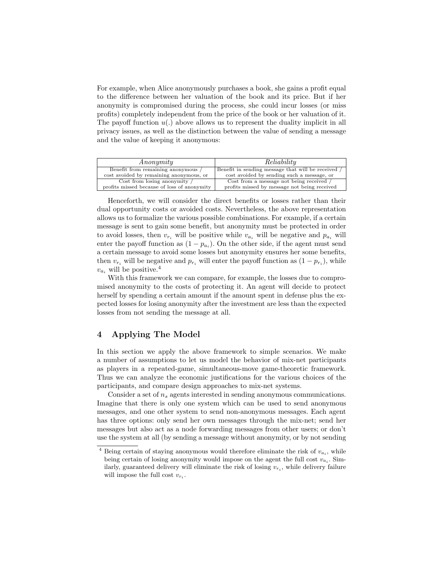For example, when Alice anonymously purchases a book, she gains a profit equal to the difference between her valuation of the book and its price. But if her anonymity is compromised during the process, she could incur losses (or miss profits) completely independent from the price of the book or her valuation of it. The payoff function  $u(.)$  above allows us to represent the duality implicit in all privacy issues, as well as the distinction between the value of sending a message and the value of keeping it anonymous:

| Anonymity                                   | Reliability                                        |
|---------------------------------------------|----------------------------------------------------|
| Benefit from remaining anonymous /          | Benefit in sending message that will be received / |
| cost avoided by remaining anonymous, or     | cost avoided by sending such a message, or         |
| Cost from losing anonymity /                | Cost from a message not being received /           |
| profits missed because of loss of anonymity | profits missed by message not being received       |

Henceforth, we will consider the direct benefits or losses rather than their dual opportunity costs or avoided costs. Nevertheless, the above representation allows us to formalize the various possible combinations. For example, if a certain message is sent to gain some benefit, but anonymity must be protected in order to avoid losses, then  $v_{r_i}$  will be positive while  $v_{a_i}$  will be negative and  $p_{a_i}$  will enter the payoff function as  $(1 - p_{a_i})$ . On the other side, if the agent must send a certain message to avoid some losses but anonymity ensures her some benefits, then  $v_{r_i}$  will be negative and  $p_{r_i}$  will enter the payoff function as  $(1 - p_{r_i})$ , while  $v_{a_i}$  will be positive.<br> $\!4$ 

With this framework we can compare, for example, the losses due to compromised anonymity to the costs of protecting it. An agent will decide to protect herself by spending a certain amount if the amount spent in defense plus the expected losses for losing anonymity after the investment are less than the expected losses from not sending the message at all.

## 4 Applying The Model

In this section we apply the above framework to simple scenarios. We make a number of assumptions to let us model the behavior of mix-net participants as players in a repeated-game, simultaneous-move game-theoretic framework. Thus we can analyze the economic justifications for the various choices of the participants, and compare design approaches to mix-net systems.

Consider a set of  $n<sub>s</sub>$  agents interested in sending anonymous communications. Imagine that there is only one system which can be used to send anonymous messages, and one other system to send non-anonymous messages. Each agent has three options: only send her own messages through the mix-net; send her messages but also act as a node forwarding messages from other users; or don't use the system at all (by sending a message without anonymity, or by not sending

<sup>&</sup>lt;sup>4</sup> Being certain of staying anonymous would therefore eliminate the risk of  $v_{a_i}$ , while being certain of losing anonymity would impose on the agent the full cost  $v_{a_i}$ . Similarly, guaranteed delivery will eliminate the risk of losing  $v_{r_i}$ , while delivery failure will impose the full cost  $v_{r_i}$ .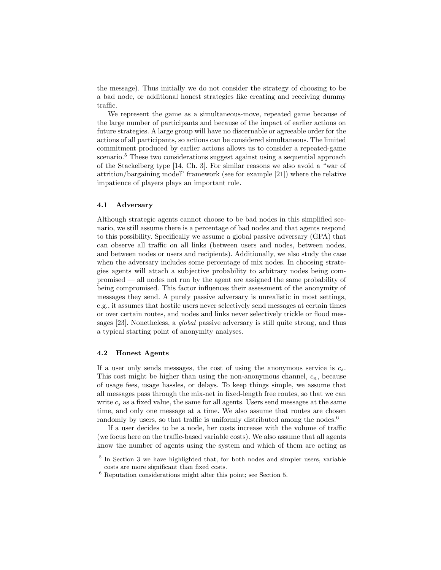the message). Thus initially we do not consider the strategy of choosing to be a bad node, or additional honest strategies like creating and receiving dummy traffic.

We represent the game as a simultaneous-move, repeated game because of the large number of participants and because of the impact of earlier actions on future strategies. A large group will have no discernable or agreeable order for the actions of all participants, so actions can be considered simultaneous. The limited commitment produced by earlier actions allows us to consider a repeated-game scenario.<sup>5</sup> These two considerations suggest against using a sequential approach of the Stackelberg type [14, Ch. 3]. For similar reasons we also avoid a "war of attrition/bargaining model" framework (see for example [21]) where the relative impatience of players plays an important role.

#### 4.1 Adversary

Although strategic agents cannot choose to be bad nodes in this simplified scenario, we still assume there is a percentage of bad nodes and that agents respond to this possibility. Specifically we assume a global passive adversary (GPA) that can observe all traffic on all links (between users and nodes, between nodes, and between nodes or users and recipients). Additionally, we also study the case when the adversary includes some percentage of mix nodes. In choosing strategies agents will attach a subjective probability to arbitrary nodes being compromised — all nodes not run by the agent are assigned the same probability of being compromised. This factor influences their assessment of the anonymity of messages they send. A purely passive adversary is unrealistic in most settings, e.g., it assumes that hostile users never selectively send messages at certain times or over certain routes, and nodes and links never selectively trickle or flood messages [23]. Nonetheless, a global passive adversary is still quite strong, and thus a typical starting point of anonymity analyses.

### 4.2 Honest Agents

If a user only sends messages, the cost of using the anonymous service is  $c_s$ . This cost might be higher than using the non-anonymous channel,  $c_n$ , because of usage fees, usage hassles, or delays. To keep things simple, we assume that all messages pass through the mix-net in fixed-length free routes, so that we can write  $c_s$  as a fixed value, the same for all agents. Users send messages at the same time, and only one message at a time. We also assume that routes are chosen randomly by users, so that traffic is uniformly distributed among the nodes.<sup>6</sup>

If a user decides to be a node, her costs increase with the volume of traffic (we focus here on the traffic-based variable costs). We also assume that all agents know the number of agents using the system and which of them are acting as

<sup>&</sup>lt;sup>5</sup> In Section 3 we have highlighted that, for both nodes and simpler users, variable costs are more significant than fixed costs.

<sup>6</sup> Reputation considerations might alter this point; see Section 5.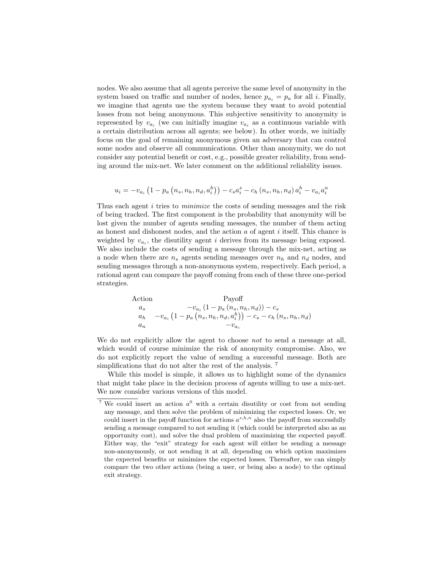nodes. We also assume that all agents perceive the same level of anonymity in the system based on traffic and number of nodes, hence  $p_{a_i} = p_a$  for all i. Finally, we imagine that agents use the system because they want to avoid potential losses from not being anonymous. This subjective sensitivity to anonymity is represented by  $v_{a_i}$  (we can initially imagine  $v_{a_i}$  as a continuous variable with a certain distribution across all agents; see below). In other words, we initially focus on the goal of remaining anonymous given an adversary that can control some nodes and observe all communications. Other than anonymity, we do not consider any potential benefit or cost, e.g., possible greater reliability, from sending around the mix-net. We later comment on the additional reliability issues.

$$
u_{i} = -v_{a_{i}} \left(1-p_{a}\left(n_{s}, n_{h}, n_{d}, a_{i}^{h}\right)\right) - c_{s} a_{i}^{s} - c_{h}\left(n_{s}, n_{h}, n_{d}\right) a_{i}^{h} - v_{a_{i}} a_{i}^{n}
$$

Thus each agent i tries to *minimize* the costs of sending messages and the risk of being tracked. The first component is the probability that anonymity will be lost given the number of agents sending messages, the number of them acting as honest and dishonest nodes, and the action  $a$  of agent  $i$  itself. This chance is weighted by  $v_{a_i}$ , the disutility agent i derives from its message being exposed. We also include the costs of sending a message through the mix-net, acting as a node when there are  $n_s$  agents sending messages over  $n_h$  and  $n_d$  nodes, and sending messages through a non-anonymous system, respectively. Each period, a rational agent can compare the payoff coming from each of these three one-period strategies.

> Action Payoff  $a_{s}$   $-v_{a_{i}}(1-p_{a}(n_{s},n_{h},n_{d})) - c_{s}$  $a_h \quad -v_{a_i} \left(1-p_a \left(n_s, n_h, n_d, a_i^h \right) \right) - c_s - c_h \left(n_s, n_h, n_d \right)$  $a_n$   $-v_{a_i}$

We do not explicitly allow the agent to choose *not* to send a message at all, which would of course minimize the risk of anonymity compromise. Also, we do not explicitly report the value of sending a successful message. Both are simplifications that do not alter the rest of the analysis.<sup>7</sup>

While this model is simple, it allows us to highlight some of the dynamics that might take place in the decision process of agents willing to use a mix-net. We now consider various versions of this model.

<sup>&</sup>lt;sup>7</sup> We could insert an action  $a^0$  with a certain disutility or cost from not sending any message, and then solve the problem of minimizing the expected losses. Or, we could insert in the payoff function for actions  $a^{s,h,n}$  also the payoff from successfully sending a message compared to not sending it (which could be interpreted also as an opportunity cost), and solve the dual problem of maximizing the expected payoff. Either way, the "exit" strategy for each agent will either be sending a message non-anonymously, or not sending it at all, depending on which option maximizes the expected benefits or minimizes the expected losses. Thereafter, we can simply compare the two other actions (being a user, or being also a node) to the optimal exit strategy.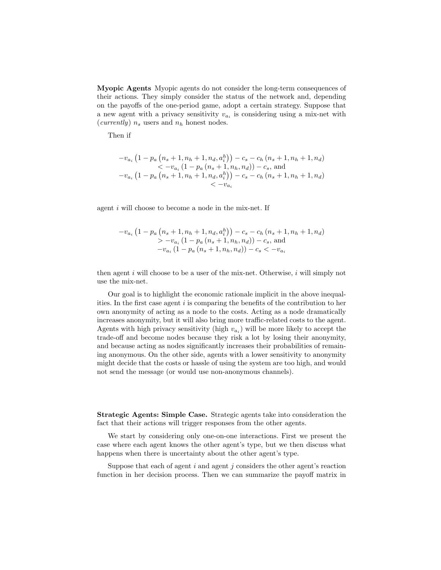Myopic Agents Myopic agents do not consider the long-term consequences of their actions. They simply consider the status of the network and, depending on the payoffs of the one-period game, adopt a certain strategy. Suppose that a new agent with a privacy sensitivity  $v_{a_i}$  is considering using a mix-net with (*currently*)  $n_s$  users and  $n_h$  honest nodes.

Then if

$$
-v_{a_i} (1 - p_a (n_s + 1, n_h + 1, n_d, a_i^h)) - c_s - c_h (n_s + 1, n_h + 1, n_d)
$$
  

$$
< -v_{a_i} (1 - p_a (n_s + 1, n_h, n_d)) - c_s, \text{ and}
$$
  

$$
-v_{a_i} (1 - p_a (n_s + 1, n_h + 1, n_d, a_i^h)) - c_s - c_h (n_s + 1, n_h + 1, n_d)
$$
  

$$
< -v_{a_i}
$$

agent i will choose to become a node in the mix-net. If

$$
-v_{a_i} (1 - p_a (n_s + 1, n_h + 1, n_d, a_i^h)) - c_s - c_h (n_s + 1, n_h + 1, n_d)
$$
  
> 
$$
-v_{a_i} (1 - p_a (n_s + 1, n_h, n_d)) - c_s
$$
, and  

$$
-v_{a_i} (1 - p_a (n_s + 1, n_h, n_d)) - c_s < -v_{a_i}
$$

then agent  $i$  will choose to be a user of the mix-net. Otherwise,  $i$  will simply not use the mix-net.

Our goal is to highlight the economic rationale implicit in the above inequalities. In the first case agent i is comparing the benefits of the contribution to her own anonymity of acting as a node to the costs. Acting as a node dramatically increases anonymity, but it will also bring more traffic-related costs to the agent. Agents with high privacy sensitivity (high  $v_{a_i}$ ) will be more likely to accept the trade-off and become nodes because they risk a lot by losing their anonymity, and because acting as nodes significantly increases their probabilities of remaining anonymous. On the other side, agents with a lower sensitivity to anonymity might decide that the costs or hassle of using the system are too high, and would not send the message (or would use non-anonymous channels).

Strategic Agents: Simple Case. Strategic agents take into consideration the fact that their actions will trigger responses from the other agents.

We start by considering only one-on-one interactions. First we present the case where each agent knows the other agent's type, but we then discuss what happens when there is uncertainty about the other agent's type.

Suppose that each of agent  $i$  and agent  $j$  considers the other agent's reaction function in her decision process. Then we can summarize the payoff matrix in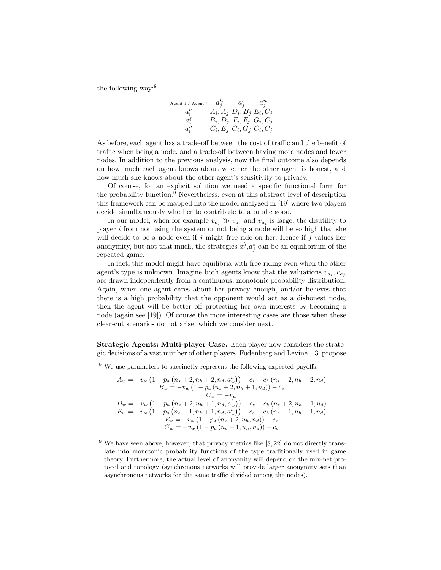the following way:<sup>8</sup>

$$
\begin{array}{ccccc} \textbf{\tiny Agent i / Agent j} & a_j^h & a_j^s & a_j^n \\ a_i^h & A_i, A_j \ D_i, B_j \ E_i, C_j \\ a_i^s & B_i, D_j \ F_i, F_j \ G_i, C_j \\ a_i^n & C_i, E_j \ C_i, G_j \ C_i, C_j \end{array}
$$

As before, each agent has a trade-off between the cost of traffic and the benefit of traffic when being a node, and a trade-off between having more nodes and fewer nodes. In addition to the previous analysis, now the final outcome also depends on how much each agent knows about whether the other agent is honest, and how much she knows about the other agent's sensitivity to privacy.

Of course, for an explicit solution we need a specific functional form for the probability function.<sup>9</sup> Nevertheless, even at this abstract level of description this framework can be mapped into the model analyzed in [19] where two players decide simultaneously whether to contribute to a public good.

In our model, when for example  $v_{a_i} \gg v_{a_j}$  and  $v_{a_i}$  is large, the disutility to player i from not using the system or not being a node will be so high that she will decide to be a node even if  $j$  might free ride on her. Hence if  $j$  values her anonymity, but not that much, the strategies  $a_i^h, a_j^s$  can be an equilibrium of the repeated game.

In fact, this model might have equilibria with free-riding even when the other agent's type is unknown. Imagine both agents know that the valuations  $v_{a_i}, v_{a_j}$ are drawn independently from a continuous, monotonic probability distribution. Again, when one agent cares about her privacy enough, and/or believes that there is a high probability that the opponent would act as a dishonest node, then the agent will be better off protecting her own interests by becoming a node (again see [19]). Of course the more interesting cases are those when these clear-cut scenarios do not arise, which we consider next.

Strategic Agents: Multi-player Case. Each player now considers the strategic decisions of a vast number of other players. Fudenberg and Levine [13] propose

<sup>8</sup> We use parameters to succinctly represent the following expected payoffs:

$$
A_w = -v_w \left(1 - p_a \left(n_s + 2, n_h + 2, n_d, a_w^h\right)\right) - c_s - c_h \left(n_s + 2, n_h + 2, n_d\right)
$$
  
\n
$$
B_w = -v_w \left(1 - p_a \left(n_s + 2, n_h + 1, n_d\right)\right) - c_s
$$
  
\n
$$
C_w = -v_w
$$
  
\n
$$
D_w = -v_w \left(1 - p_a \left(n_s + 2, n_h + 1, n_d, a_w^h\right)\right) - c_s - c_h \left(n_s + 2, n_h + 1, n_d\right)
$$
  
\n
$$
E_w = -v_w \left(1 - p_a \left(n_s + 1, n_h + 1, n_d, a_w^h\right)\right) - c_s - c_h \left(n_s + 1, n_h + 1, n_d\right)
$$
  
\n
$$
F_w = -v_w \left(1 - p_a \left(n_s + 2, n_h, n_d\right)\right) - c_s
$$
  
\n
$$
G_w = -v_w \left(1 - p_a \left(n_s + 1, n_h, n_d\right)\right) - c_s
$$

 $9$  We have seen above, however, that privacy metrics like [8, 22] do not directly translate into monotonic probability functions of the type traditionally used in game theory. Furthermore, the actual level of anonymity will depend on the mix-net protocol and topology (synchronous networks will provide larger anonymity sets than asynchronous networks for the same traffic divided among the nodes).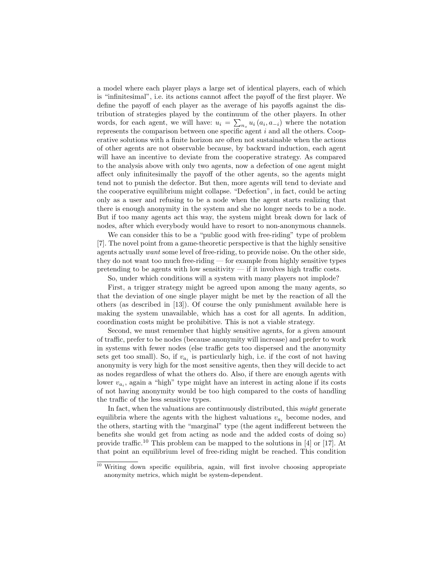a model where each player plays a large set of identical players, each of which is "infinitesimal", i.e. its actions cannot affect the payoff of the first player. We define the payoff of each player as the average of his payoffs against the distribution of strategies played by the continuum of the other players. In other words, for each agent, we will have:  $u_i = \sum_{n_s} u_i (a_i, a_{-i})$  where the notation represents the comparison between one specific agent i and all the others. Cooperative solutions with a finite horizon are often not sustainable when the actions of other agents are not observable because, by backward induction, each agent will have an incentive to deviate from the cooperative strategy. As compared to the analysis above with only two agents, now a defection of one agent might affect only infinitesimally the payoff of the other agents, so the agents might tend not to punish the defector. But then, more agents will tend to deviate and the cooperative equilibrium might collapse. "Defection", in fact, could be acting only as a user and refusing to be a node when the agent starts realizing that there is enough anonymity in the system and she no longer needs to be a node. But if too many agents act this way, the system might break down for lack of nodes, after which everybody would have to resort to non-anonymous channels.

We can consider this to be a "public good with free-riding" type of problem [7]. The novel point from a game-theoretic perspective is that the highly sensitive agents actually want some level of free-riding, to provide noise. On the other side, they do not want too much free-riding — for example from highly sensitive types pretending to be agents with low sensitivity  $-$  if it involves high traffic costs.

So, under which conditions will a system with many players not implode?

First, a trigger strategy might be agreed upon among the many agents, so that the deviation of one single player might be met by the reaction of all the others (as described in [13]). Of course the only punishment available here is making the system unavailable, which has a cost for all agents. In addition, coordination costs might be prohibitive. This is not a viable strategy.

Second, we must remember that highly sensitive agents, for a given amount of traffic, prefer to be nodes (because anonymity will increase) and prefer to work in systems with fewer nodes (else traffic gets too dispersed and the anonymity sets get too small). So, if  $v_{a_i}$  is particularly high, i.e. if the cost of not having anonymity is very high for the most sensitive agents, then they will decide to act as nodes regardless of what the others do. Also, if there are enough agents with lower  $v_{a_i}$ , again a "high" type might have an interest in acting alone if its costs of not having anonymity would be too high compared to the costs of handling the traffic of the less sensitive types.

In fact, when the valuations are continuously distributed, this might generate equilibria where the agents with the highest valuations  $v_{a_i}$  become nodes, and the others, starting with the "marginal" type (the agent indifferent between the benefits she would get from acting as node and the added costs of doing so) provide traffic.<sup>10</sup> This problem can be mapped to the solutions in [4] or [17]. At that point an equilibrium level of free-riding might be reached. This condition

<sup>&</sup>lt;sup>10</sup> Writing down specific equilibria, again, will first involve choosing appropriate anonymity metrics, which might be system-dependent.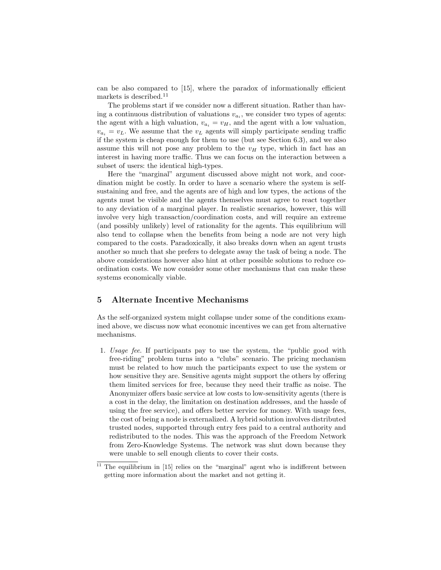can be also compared to [15], where the paradox of informationally efficient markets is described.<sup>11</sup>

The problems start if we consider now a different situation. Rather than having a continuous distribution of valuations  $v_{a_i}$ , we consider two types of agents: the agent with a high valuation,  $v_{a_i} = v_H$ , and the agent with a low valuation,  $v_{a_i} = v_L$ . We assume that the  $v_L$  agents will simply participate sending traffic if the system is cheap enough for them to use (but see Section 6.3), and we also assume this will not pose any problem to the  $v_H$  type, which in fact has an interest in having more traffic. Thus we can focus on the interaction between a subset of users: the identical high-types.

Here the "marginal" argument discussed above might not work, and coordination might be costly. In order to have a scenario where the system is selfsustaining and free, and the agents are of high and low types, the actions of the agents must be visible and the agents themselves must agree to react together to any deviation of a marginal player. In realistic scenarios, however, this will involve very high transaction/coordination costs, and will require an extreme (and possibly unlikely) level of rationality for the agents. This equilibrium will also tend to collapse when the benefits from being a node are not very high compared to the costs. Paradoxically, it also breaks down when an agent trusts another so much that she prefers to delegate away the task of being a node. The above considerations however also hint at other possible solutions to reduce coordination costs. We now consider some other mechanisms that can make these systems economically viable.

### 5 Alternate Incentive Mechanisms

As the self-organized system might collapse under some of the conditions examined above, we discuss now what economic incentives we can get from alternative mechanisms.

1. Usage fee. If participants pay to use the system, the "public good with free-riding" problem turns into a "clubs" scenario. The pricing mechanism must be related to how much the participants expect to use the system or how sensitive they are. Sensitive agents might support the others by offering them limited services for free, because they need their traffic as noise. The Anonymizer offers basic service at low costs to low-sensitivity agents (there is a cost in the delay, the limitation on destination addresses, and the hassle of using the free service), and offers better service for money. With usage fees, the cost of being a node is externalized. A hybrid solution involves distributed trusted nodes, supported through entry fees paid to a central authority and redistributed to the nodes. This was the approach of the Freedom Network from Zero-Knowledge Systems. The network was shut down because they were unable to sell enough clients to cover their costs.

 $11$  The equilibrium in [15] relies on the "marginal" agent who is indifferent between getting more information about the market and not getting it.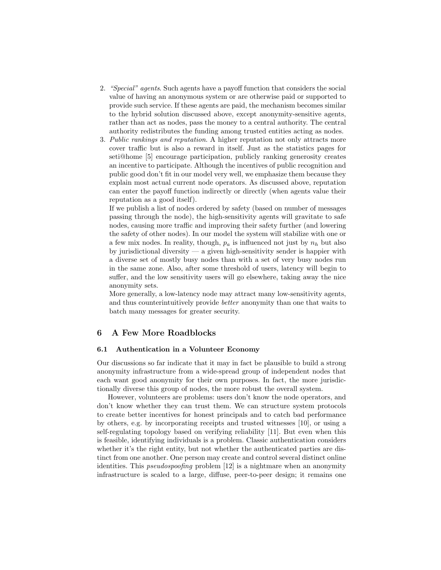- 2. "Special" agents. Such agents have a payoff function that considers the social value of having an anonymous system or are otherwise paid or supported to provide such service. If these agents are paid, the mechanism becomes similar to the hybrid solution discussed above, except anonymity-sensitive agents, rather than act as nodes, pass the money to a central authority. The central authority redistributes the funding among trusted entities acting as nodes.
- 3. Public rankings and reputation. A higher reputation not only attracts more cover traffic but is also a reward in itself. Just as the statistics pages for seti@home [5] encourage participation, publicly ranking generosity creates an incentive to participate. Although the incentives of public recognition and public good don't fit in our model very well, we emphasize them because they explain most actual current node operators. As discussed above, reputation can enter the payoff function indirectly or directly (when agents value their reputation as a good itself).

If we publish a list of nodes ordered by safety (based on number of messages passing through the node), the high-sensitivity agents will gravitate to safe nodes, causing more traffic and improving their safety further (and lowering the safety of other nodes). In our model the system will stabilize with one or a few mix nodes. In reality, though,  $p_a$  is influenced not just by  $n_h$  but also by jurisdictional diversity — a given high-sensitivity sender is happier with a diverse set of mostly busy nodes than with a set of very busy nodes run in the same zone. Also, after some threshold of users, latency will begin to suffer, and the low sensitivity users will go elsewhere, taking away the nice anonymity sets.

More generally, a low-latency node may attract many low-sensitivity agents, and thus counterintuitively provide better anonymity than one that waits to batch many messages for greater security.

### 6 A Few More Roadblocks

#### 6.1 Authentication in a Volunteer Economy

Our discussions so far indicate that it may in fact be plausible to build a strong anonymity infrastructure from a wide-spread group of independent nodes that each want good anonymity for their own purposes. In fact, the more jurisdictionally diverse this group of nodes, the more robust the overall system.

However, volunteers are problems: users don't know the node operators, and don't know whether they can trust them. We can structure system protocols to create better incentives for honest principals and to catch bad performance by others, e.g. by incorporating receipts and trusted witnesses [10], or using a self-regulating topology based on verifying reliability [11]. But even when this is feasible, identifying individuals is a problem. Classic authentication considers whether it's the right entity, but not whether the authenticated parties are distinct from one another. One person may create and control several distinct online identities. This pseudospoofing problem [12] is a nightmare when an anonymity infrastructure is scaled to a large, diffuse, peer-to-peer design; it remains one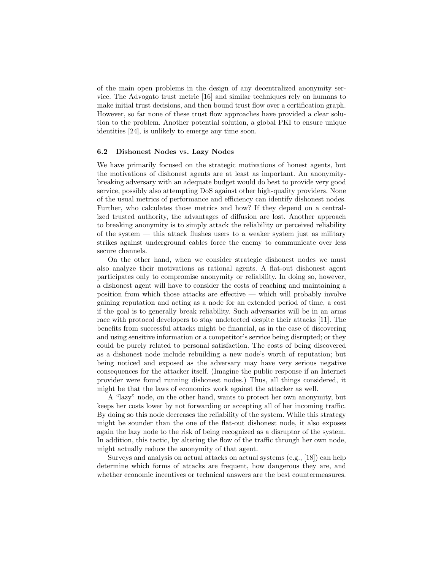of the main open problems in the design of any decentralized anonymity service. The Advogato trust metric [16] and similar techniques rely on humans to make initial trust decisions, and then bound trust flow over a certification graph. However, so far none of these trust flow approaches have provided a clear solution to the problem. Another potential solution, a global PKI to ensure unique identities [24], is unlikely to emerge any time soon.

#### 6.2 Dishonest Nodes vs. Lazy Nodes

We have primarily focused on the strategic motivations of honest agents, but the motivations of dishonest agents are at least as important. An anonymitybreaking adversary with an adequate budget would do best to provide very good service, possibly also attempting DoS against other high-quality providers. None of the usual metrics of performance and efficiency can identify dishonest nodes. Further, who calculates those metrics and how? If they depend on a centralized trusted authority, the advantages of diffusion are lost. Another approach to breaking anonymity is to simply attack the reliability or perceived reliability of the system — this attack flushes users to a weaker system just as military strikes against underground cables force the enemy to communicate over less secure channels.

On the other hand, when we consider strategic dishonest nodes we must also analyze their motivations as rational agents. A flat-out dishonest agent participates only to compromise anonymity or reliability. In doing so, however, a dishonest agent will have to consider the costs of reaching and maintaining a position from which those attacks are effective — which will probably involve gaining reputation and acting as a node for an extended period of time, a cost if the goal is to generally break reliability. Such adversaries will be in an arms race with protocol developers to stay undetected despite their attacks [11]. The benefits from successful attacks might be financial, as in the case of discovering and using sensitive information or a competitor's service being disrupted; or they could be purely related to personal satisfaction. The costs of being discovered as a dishonest node include rebuilding a new node's worth of reputation; but being noticed and exposed as the adversary may have very serious negative consequences for the attacker itself. (Imagine the public response if an Internet provider were found running dishonest nodes.) Thus, all things considered, it might be that the laws of economics work against the attacker as well.

A "lazy" node, on the other hand, wants to protect her own anonymity, but keeps her costs lower by not forwarding or accepting all of her incoming traffic. By doing so this node decreases the reliability of the system. While this strategy might be sounder than the one of the flat-out dishonest node, it also exposes again the lazy node to the risk of being recognized as a disruptor of the system. In addition, this tactic, by altering the flow of the traffic through her own node, might actually reduce the anonymity of that agent.

Surveys and analysis on actual attacks on actual systems  $(e.g., [18])$  can help determine which forms of attacks are frequent, how dangerous they are, and whether economic incentives or technical answers are the best countermeasures.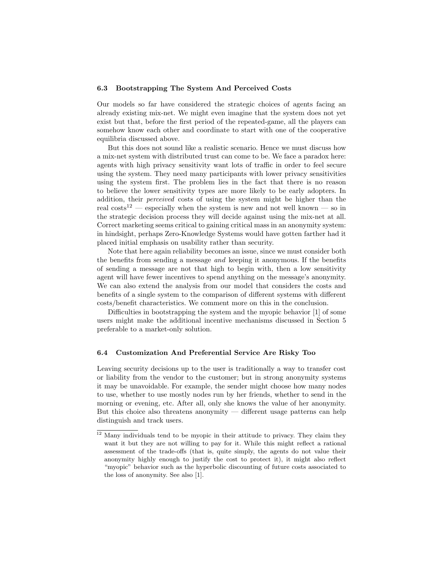### 6.3 Bootstrapping The System And Perceived Costs

Our models so far have considered the strategic choices of agents facing an already existing mix-net. We might even imagine that the system does not yet exist but that, before the first period of the repeated-game, all the players can somehow know each other and coordinate to start with one of the cooperative equilibria discussed above.

But this does not sound like a realistic scenario. Hence we must discuss how a mix-net system with distributed trust can come to be. We face a paradox here: agents with high privacy sensitivity want lots of traffic in order to feel secure using the system. They need many participants with lower privacy sensitivities using the system first. The problem lies in the fact that there is no reason to believe the lower sensitivity types are more likely to be early adopters. In addition, their perceived costs of using the system might be higher than the real costs<sup>12</sup> — especially when the system is new and not well known — so in the strategic decision process they will decide against using the mix-net at all. Correct marketing seems critical to gaining critical mass in an anonymity system: in hindsight, perhaps Zero-Knowledge Systems would have gotten farther had it placed initial emphasis on usability rather than security.

Note that here again reliability becomes an issue, since we must consider both the benefits from sending a message and keeping it anonymous. If the benefits of sending a message are not that high to begin with, then a low sensitivity agent will have fewer incentives to spend anything on the message's anonymity. We can also extend the analysis from our model that considers the costs and benefits of a single system to the comparison of different systems with different costs/benefit characteristics. We comment more on this in the conclusion.

Difficulties in bootstrapping the system and the myopic behavior [1] of some users might make the additional incentive mechanisms discussed in Section 5 preferable to a market-only solution.

#### 6.4 Customization And Preferential Service Are Risky Too

Leaving security decisions up to the user is traditionally a way to transfer cost or liability from the vendor to the customer; but in strong anonymity systems it may be unavoidable. For example, the sender might choose how many nodes to use, whether to use mostly nodes run by her friends, whether to send in the morning or evening, etc. After all, only she knows the value of her anonymity. But this choice also threatens anonymity  $-$  different usage patterns can help distinguish and track users.

<sup>&</sup>lt;sup>12</sup> Many individuals tend to be myopic in their attitude to privacy. They claim they want it but they are not willing to pay for it. While this might reflect a rational assessment of the trade-offs (that is, quite simply, the agents do not value their anonymity highly enough to justify the cost to protect it), it might also reflect "myopic" behavior such as the hyperbolic discounting of future costs associated to the loss of anonymity. See also [1].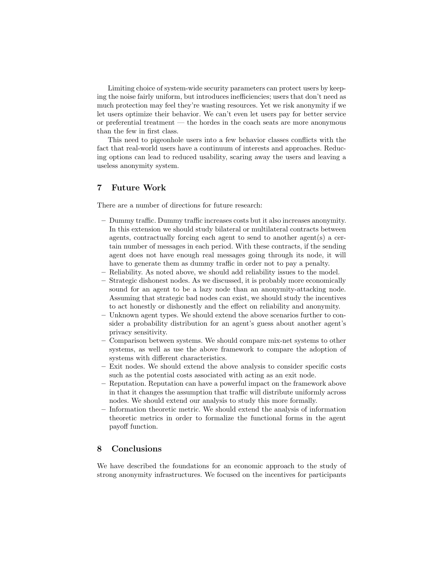Limiting choice of system-wide security parameters can protect users by keeping the noise fairly uniform, but introduces inefficiencies; users that don't need as much protection may feel they're wasting resources. Yet we risk anonymity if we let users optimize their behavior. We can't even let users pay for better service or preferential treatment — the hordes in the coach seats are more anonymous than the few in first class.

This need to pigeonhole users into a few behavior classes conflicts with the fact that real-world users have a continuum of interests and approaches. Reducing options can lead to reduced usability, scaring away the users and leaving a useless anonymity system.

## 7 Future Work

There are a number of directions for future research:

- Dummy traffic. Dummy traffic increases costs but it also increases anonymity. In this extension we should study bilateral or multilateral contracts between agents, contractually forcing each agent to send to another agent(s) a certain number of messages in each period. With these contracts, if the sending agent does not have enough real messages going through its node, it will have to generate them as dummy traffic in order not to pay a penalty.
- Reliability. As noted above, we should add reliability issues to the model.
- Strategic dishonest nodes. As we discussed, it is probably more economically sound for an agent to be a lazy node than an anonymity-attacking node. Assuming that strategic bad nodes can exist, we should study the incentives to act honestly or dishonestly and the effect on reliability and anonymity.
- Unknown agent types. We should extend the above scenarios further to consider a probability distribution for an agent's guess about another agent's privacy sensitivity.
- Comparison between systems. We should compare mix-net systems to other systems, as well as use the above framework to compare the adoption of systems with different characteristics.
- Exit nodes. We should extend the above analysis to consider specific costs such as the potential costs associated with acting as an exit node.
- Reputation. Reputation can have a powerful impact on the framework above in that it changes the assumption that traffic will distribute uniformly across nodes. We should extend our analysis to study this more formally.
- Information theoretic metric. We should extend the analysis of information theoretic metrics in order to formalize the functional forms in the agent payoff function.

## 8 Conclusions

We have described the foundations for an economic approach to the study of strong anonymity infrastructures. We focused on the incentives for participants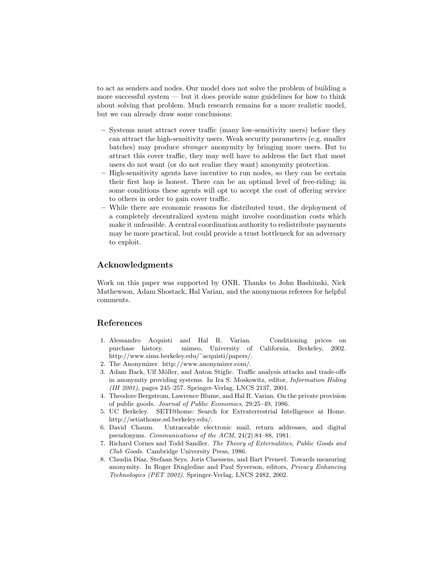to act as senders and nodes. Our model does not solve the problem of building a more successful system  $-$  but it does provide some guidelines for how to think about solving that problem. Much research remains for a more realistic model, but we can already draw some conclusions:

- Systems must attract cover traffic (many low-sensitivity users) before they can attract the high-sensitivity users. Weak security parameters (e.g. smaller batches) may produce stronger anonymity by bringing more users. But to attract this cover traffic, they may well have to address the fact that most users do not want (or do not realize they want) anonymity protection.
- High-sensitivity agents have incentive to run nodes, so they can be certain their first hop is honest. There can be an optimal level of free-riding: in some conditions these agents will opt to accept the cost of offering service to others in order to gain cover traffic.
- While there are economic reasons for distributed trust, the deployment of a completely decentralized system might involve coordination costs which make it unfeasible. A central coordination authority to redistribute payments may be more practical, but could provide a trust bottleneck for an adversary to exploit.

# Acknowledgments

Work on this paper was supported by ONR. Thanks to John Bashinski, Nick Mathewson, Adam Shostack, Hal Varian, and the anonymous referees for helpful comments.

## References

- 1. Alessandro Acquisti and Hal R. Varian. Conditioning prices on purchase history. mimeo, University of California, Berkeley, 2002. http://www.sims.berkeley.edu/˜acquisti/papers/.
- 2. The Anonymizer. http://www.anonymizer.com/.
- 3. Adam Back, Ulf Möller, and Anton Stiglic. Traffic analysis attacks and trade-offs in anonymity providing systems. In Ira S. Moskowitz, editor, Information Hiding (IH 2001), pages 245–257. Springer-Verlag, LNCS 2137, 2001.
- 4. Theodore Bergstrom, Lawrence Blume, and Hal R. Varian. On the private provision of public goods. Journal of Public Economics, 29:25–49, 1986.
- 5. UC Berkeley. SETI@home: Search for Extraterrestrial Intelligence at Home. http://setiathome.ssl.berkeley.edu/.
- 6. David Chaum. Untraceable electronic mail, return addresses, and digital pseudonyms. Communications of the ACM, 24(2):84–88, 1981.
- 7. Richard Cornes and Todd Sandler. The Theory of Externalities, Public Goods and Club Goods. Cambridge University Press, 1986.
- 8. Claudia Díaz, Stefaan Seys, Joris Claessens, and Bart Preneel. Towards measuring anonymity. In Roger Dingledine and Paul Syverson, editors, Privacy Enhancing Technologies (PET 2002). Springer-Verlag, LNCS 2482, 2002.